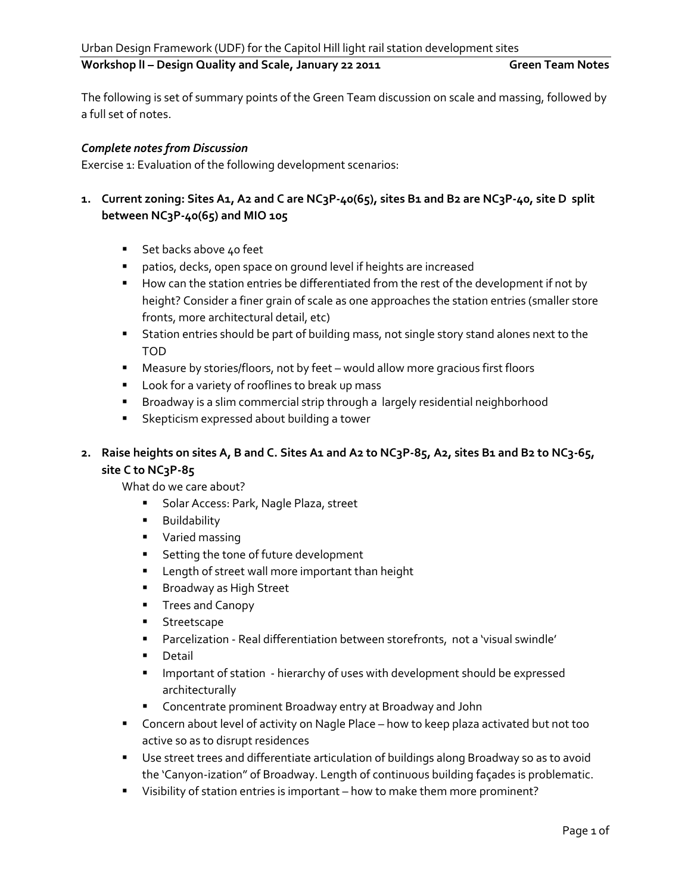## Workshop II – Design Quality and Scale, January 22 2011 **Green Team Notes**

The following is set of summary points of the Green Team discussion on scale and massing, followed by a full set of notes.

#### *Complete notes from Discussion*

Exercise 1: Evaluation of the following development scenarios:

# 1. Current zoning: Sites A1, A2 and C are NC3P-40(65), sites B1 and B2 are NC3P-40, site D split **between NC3P-40(65) and MIO 105**

- Set backs above 40 feet
- patios, decks, open space on ground level if heights are increased
- **How can the station entries be differentiated from the rest of the development if not by** height? Consider a finer grain of scale as one approaches the station entries (smaller store fronts, more architectural detail, etc)
- **Station entries should be part of building mass, not single story stand alones next to the** TOD
- Measure by stories/floors, not by feet would allow more gracious first floors
- **Look for a variety of rooflines to break up mass**
- Broadway is a slim commercial strip through a largely residential neighborhood
- **Skepticism expressed about building a tower**

# **2. Raise heights on sites A, B and C. Sites A1 and A2 to NC3P-85, A2, sites B1 and B2 to NC3-65, site C to NC3P-85**

What do we care about?

- **Solar Access: Park, Nagle Plaza, street**
- **Buildability**
- **varied massing**
- **Setting the tone of future development**
- **EXEC** Length of street wall more important than height
- **Broadway as High Street**
- **Trees and Canopy**
- **Streetscape**
- Parcelization Real differentiation between storefronts, not a 'visual swindle'
- **Detail**
- Important of station hierarchy of uses with development should be expressed architecturally
- Concentrate prominent Broadway entry at Broadway and John
- **EXP** Concern about level of activity on Nagle Place how to keep plaza activated but not too active so as to disrupt residences
- Use street trees and differentiate articulation of buildings along Broadway so as to avoid the 'Canyon-ization" of Broadway. Length of continuous building façades is problematic.
- **Uisibility of station entries is important** how to make them more prominent?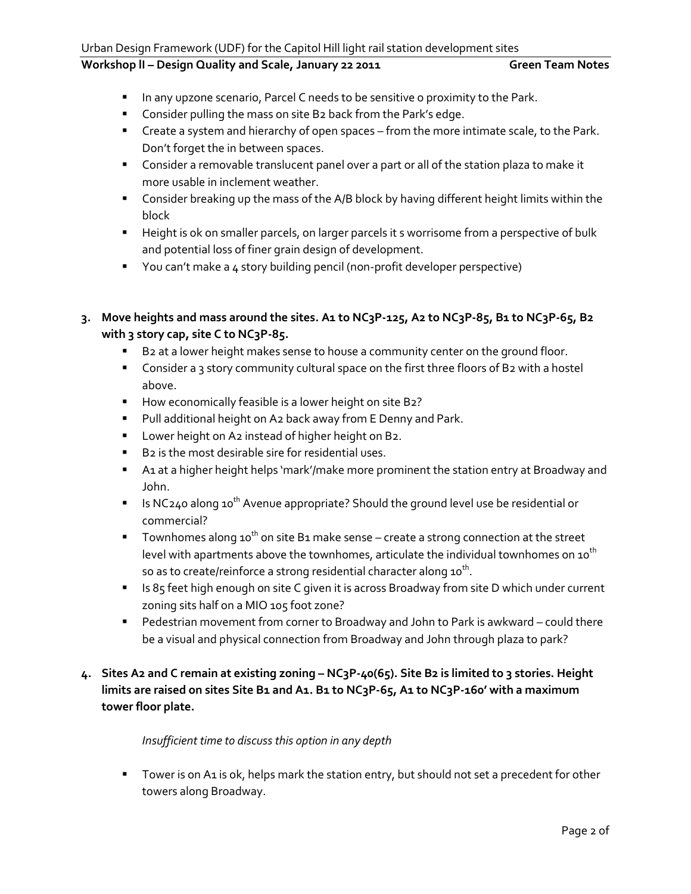# Workshop II - Design Quality and Scale, January 22 2011 **Green Team Notes**

- **IFM** In any upzone scenario, Parcel C needs to be sensitive o proximity to the Park.
- **Consider pulling the mass on site B2 back from the Park's edge.**
- **EXP** Create a system and hierarchy of open spaces from the more intimate scale, to the Park. Don't forget the in between spaces.
- **Consider a removable translucent panel over a part or all of the station plaza to make it** more usable in inclement weather.
- **Consider breaking up the mass of the A/B block by having different height limits within the** block
- **Height is ok on smaller parcels, on larger parcels it s worrisome from a perspective of bulk** and potential loss of finer grain design of development.
- **T** You can't make a 4 story building pencil (non-profit developer perspective)
- **3. Move heights and mass around the sites. A1 to NC3P-125, A2 to NC3P-85, B1 to NC3P-65, B2 with 3 story cap, site C to NC3P-85.**
	- B2 at a lower height makes sense to house a community center on the ground floor.
	- **Consider a 3 story community cultural space on the first three floors of B2 with a hostel** above.
	- How economically feasible is a lower height on site B2?
	- **Pull additional height on A2 back away from E Denny and Park.**
	- **Lower height on A2 instead of higher height on B2.**
	- B2 is the most desirable sire for residential uses.
	- **A1 at a higher height helps 'mark'/make more prominent the station entry at Broadway and** John.
	- Is NC240 along 10<sup>th</sup> Avenue appropriate? Should the ground level use be residential or commercial?
	- Townhomes along 10<sup>th</sup> on site B1 make sense create a strong connection at the street level with apartments above the townhomes, articulate the individual townhomes on  $10^{th}$ so as to create/reinforce a strong residential character along 10 $^{\sf th}$ .
	- **IS 85 feet high enough on site C given it is across Broadway from site D which under current** zoning sits half on a MIO 105 foot zone?
	- Pedestrian movement from corner to Broadway and John to Park is awkward could there be a visual and physical connection from Broadway and John through plaza to park?
- **4. Sites A2 and C remain at existing zoning – NC3P-40(65). Site B2 is limited to 3 stories. Height limits are raised on sites Site B1 and A1. B1 to NC3P-65, A1 to NC3P-160' with a maximum tower floor plate.**

# *Insufficient time to discuss this option in any depth*

**Tower is on A1 is ok, helps mark the station entry, but should not set a precedent for other** towers along Broadway.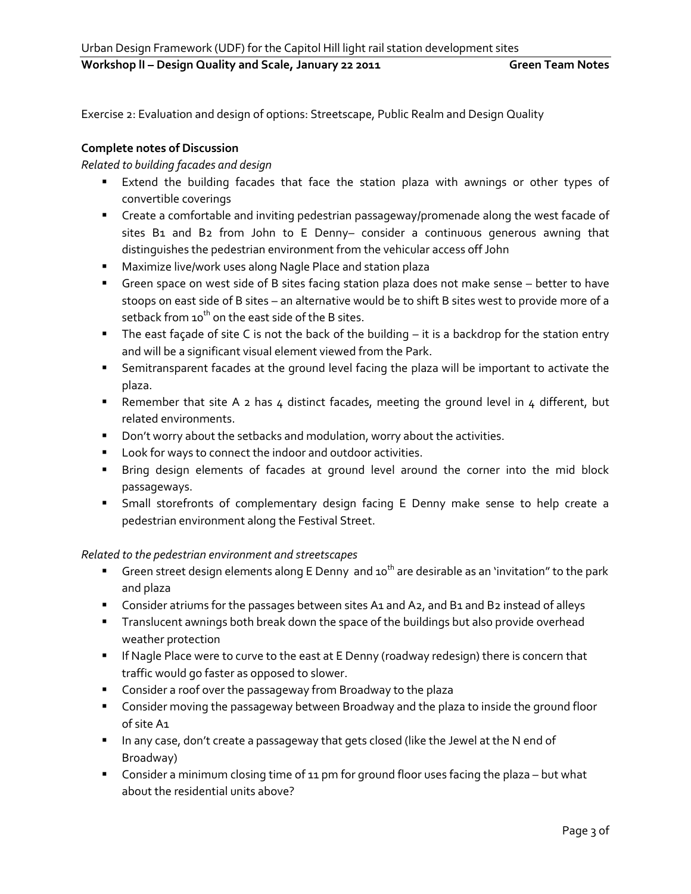### Workshop II - Design Quality and Scale, January 22 2011 **Green Team Notes**

Exercise 2: Evaluation and design of options: Streetscape, Public Realm and Design Quality

# **Complete notes of Discussion**

*Related to building facades and design*

- **Extend the building facades that face the station plaza with awnings or other types of** convertible coverings
- Create a comfortable and inviting pedestrian passageway/promenade along the west facade of sites B1 and B2 from John to E Denny- consider a continuous generous awning that distinguishes the pedestrian environment from the vehicular access off John
- Maximize live/work uses along Nagle Place and station plaza
- Green space on west side of B sites facing station plaza does not make sense better to have stoops on east side of B sites – an alternative would be to shift B sites west to provide more of a setback from  $10^{th}$  on the east side of the B sites.
- The east façade of site C is not the back of the building it is a backdrop for the station entry and will be a significant visual element viewed from the Park.
- **Semitransparent facades at the ground level facing the plaza will be important to activate the** plaza.
- Remember that site A 2 has 4 distinct facades, meeting the ground level in 4 different, but related environments.
- **Don't worry about the setbacks and modulation, worry about the activities.**
- **Look for ways to connect the indoor and outdoor activities.**
- Bring design elements of facades at ground level around the corner into the mid block passageways.
- Small storefronts of complementary design facing E Denny make sense to help create a pedestrian environment along the Festival Street.

# *Related to the pedestrian environment and streetscapes*

- Green street design elements along E Denny and  $10^{th}$  are desirable as an 'invitation" to the park and plaza
- **Consider atriums for the passages between sites A1 and A2, and B1 and B2 instead of alleys**
- **Translucent awnings both break down the space of the buildings but also provide overhead** weather protection
- **If Nagle Place were to curve to the east at E Denny (roadway redesign) there is concern that** traffic would go faster as opposed to slower.
- **Consider a roof over the passageway from Broadway to the plaza**
- **EXP** Consider moving the passageway between Broadway and the plaza to inside the ground floor of site A1
- **IF In any case, don't create a passageway that gets closed (like the Jewel at the N end of** Broadway)
- **Consider a minimum closing time of 11 pm for ground floor uses facing the plaza but what** about the residential units above?